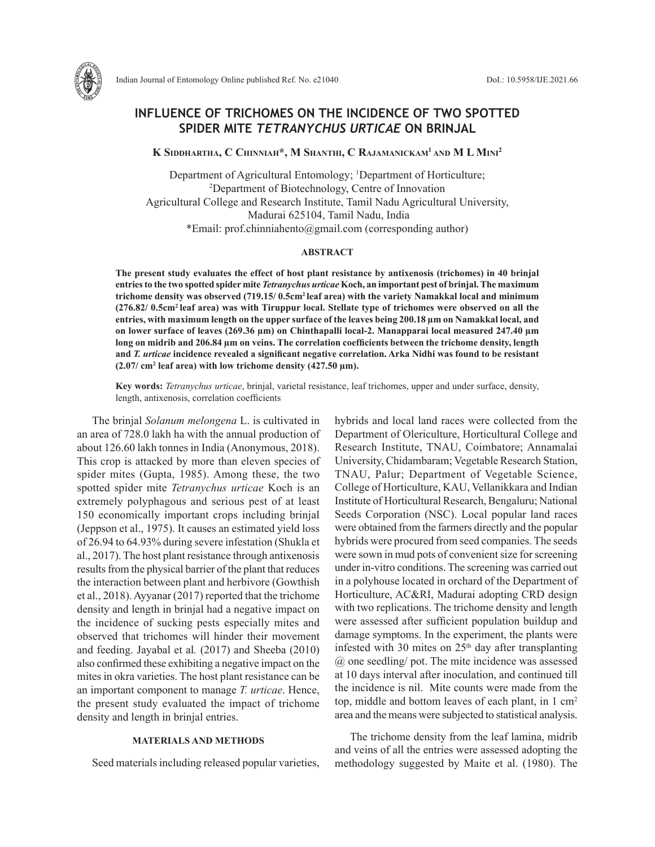

# **INFLUENCE OF TRICHOMES ON THE INCIDENCE OF TWO SPOTTED SPIDER MITE** *TETRANYCHUS URTICAE* **ON BRINJAL**

**K Siddhartha, C Chinniah\*, M Shanthi, C Rajamanickam1 and M L Mini2**

Department of Agricultural Entomology; <sup>1</sup>Department of Horticulture; 2 Department of Biotechnology, Centre of Innovation Agricultural College and Research Institute, Tamil Nadu Agricultural University, Madurai 625104, Tamil Nadu, India \*Email: prof.chinniahento@gmail.com (corresponding author)

#### **ABSTRACT**

**The present study evaluates the effect of host plant resistance by antixenosis (trichomes) in 40 brinjal entries to the two spotted spider mite** *Tetranychus urticae* **Koch, an important pest of brinjal. The maximum trichome density was observed (719.15/ 0.5cm2 leaf area) with the variety Namakkal local and minimum (276.82/ 0.5cm2 leaf area) was with Tiruppur local. Stellate type of trichomes were observed on all the entries, with maximum length on the upper surface of the leaves being 200.18 µm on Namakkal local, and on lower surface of leaves (269.36 µm) on Chinthapalli local-2. Manapparai local measured 247.40 µm long on midrib and 206.84 µm on veins. The correlation coefficients between the trichome density, length and** *T. urticae* **incidence revealed a significant negative correlation. Arka Nidhi was found to be resistant**   $(2.07/\text{ cm}^2 \text{ leaf area})$  with low trichome density  $(427.50 \text{ }\mu\text{m})$ .

**Key words:** *Tetranychus urticae*, brinjal, varietal resistance, leaf trichomes, upper and under surface, density, length, antixenosis, correlation coefficients

The brinjal *Solanum melongena* L. is cultivated in an area of 728.0 lakh ha with the annual production of about 126.60 lakh tonnes in India (Anonymous, 2018). This crop is attacked by more than eleven species of spider mites (Gupta, 1985). Among these, the two spotted spider mite *Tetranychus urticae* Koch is an extremely polyphagous and serious pest of at least 150 economically important crops including brinjal (Jeppson et al., 1975). It causes an estimated yield loss of 26.94 to 64.93% during severe infestation (Shukla et al., 2017). The host plant resistance through antixenosis results from the physical barrier of the plant that reduces the interaction between plant and herbivore (Gowthish et al., 2018). Ayyanar (2017) reported that the trichome density and length in brinjal had a negative impact on the incidence of sucking pests especially mites and observed that trichomes will hinder their movement and feeding. Jayabal et al*.* (2017) and Sheeba (2010) also confirmed these exhibiting a negative impact on the mites in okra varieties. The host plant resistance can be an important component to manage *T. urticae*. Hence, the present study evaluated the impact of trichome density and length in brinjal entries.

## **MATERIALS AND METHODS**

Seed materials including released popular varieties,

hybrids and local land races were collected from the Department of Olericulture, Horticultural College and Research Institute, TNAU, Coimbatore; Annamalai University, Chidambaram; Vegetable Research Station, TNAU, Palur; Department of Vegetable Science, College of Horticulture, KAU, Vellanikkara and Indian Institute of Horticultural Research, Bengaluru; National Seeds Corporation (NSC). Local popular land races were obtained from the farmers directly and the popular hybrids were procured from seed companies. The seeds were sown in mud pots of convenient size for screening under in-vitro conditions. The screening was carried out in a polyhouse located in orchard of the Department of Horticulture, AC&RI, Madurai adopting CRD design with two replications. The trichome density and length were assessed after sufficient population buildup and damage symptoms. In the experiment, the plants were infested with 30 mites on  $25<sup>th</sup>$  day after transplanting @ one seedling/ pot. The mite incidence was assessed at 10 days interval after inoculation, and continued till the incidence is nil. Mite counts were made from the top, middle and bottom leaves of each plant, in 1 cm2 area and the means were subjected to statistical analysis.

The trichome density from the leaf lamina, midrib and veins of all the entries were assessed adopting the methodology suggested by Maite et al. (1980). The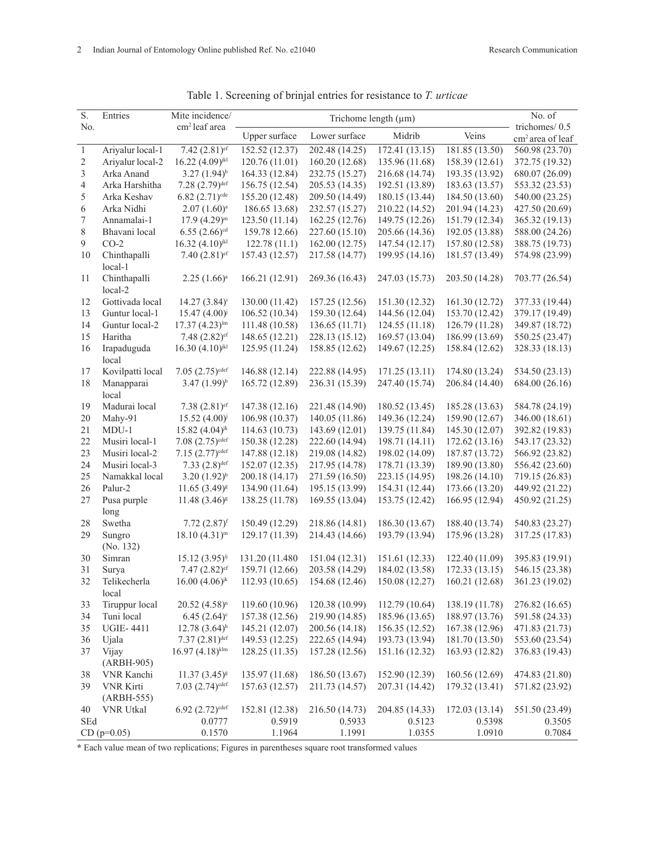| S.           | Entries                 | Mite incidence/                 | Trichome length $(\mu m)$ |                |                |                | No. of                                        |
|--------------|-------------------------|---------------------------------|---------------------------|----------------|----------------|----------------|-----------------------------------------------|
| No.          |                         | cm <sup>2</sup> leaf area       | Upper surface             | Lower surface  | Midrib         | Veins          | trichomes/0.5<br>cm <sup>2</sup> area of leaf |
| $\mathbf{1}$ | Ariyalur local-1        | 7.42 $(2.81)$ <sup>ef</sup>     | 152.52 (12.37)            | 202.48 (14.25) | 172.41 (13.15) | 181.85 (13.50) | 560.98 (23.70)                                |
| $\sqrt{2}$   | Ariyalur local-2        | $16.22 (4.09)$ <sup>jkl</sup>   | 120.76(11.01)             | 160.20 (12.68) | 135.96 (11.68) | 158.39 (12.61) | 372.75 (19.32)                                |
| 3            | Arka Anand              | $3.27(1.94)^{b}$                | 164.33 (12.84)            | 232.75 (15.27) | 216.68 (14.74) | 193.35 (13.92) | 680.07 (26.09)                                |
| $\sqrt{4}$   | Arka Harshitha          | $7.28(2.79)$ <sup>def</sup>     | 156.75 (12.54)            | 205.53 (14.35) | 192.51 (13.89) | 183.63 (13.57) | 553.32 (23.53)                                |
| 5            | Arka Keshav             | $6.82 (2.71)^{cde}$             | 155.20 (12.48)            | 209.50 (14.49) | 180.15 (13.44) | 184.50 (13.60) | 540.00 (23.25)                                |
| 6            | Arka Nidhi              | $2.07(1.60)^a$                  | 186.65 13.68)             | 232.57 (15.27) | 210.22 (14.52) | 201.94 (14.23) | 427.50 (20.69)                                |
| 7            | Annamalai-1             | $17.9(4.29)^m$                  | 123.50 (11.14)            | 162.25 (12.76) | 149.75 (12.26) | 151.79 (12.34) | 365.32 (19.13)                                |
| $\,$ 8 $\,$  | Bhavani local           | $6.55(2.66)$ <sup>cd</sup>      | 159.78 12.66)             | 227.60 (15.10) | 205.66 (14.36) | 192.05 (13.88) | 588.00 (24.26)                                |
| 9            | $CO-2$                  | $16.32 (4.10)$ <sup>jkl</sup>   | 122.78(11.1)              | 162.00(12.75)  | 147.54 (12.17) | 157.80 (12.58) | 388.75 (19.73)                                |
| 10           | Chinthapalli<br>local-1 | 7.40 $(2.81)$ <sup>ef</sup>     | 157.43 (12.57)            | 217.58 (14.77) | 199.95 (14.16) | 181.57 (13.49) | 574.98 (23.99)                                |
| 11           | Chinthapalli<br>local-2 | $2.25(1.66)^a$                  | 166.21 (12.91)            | 269.36 (16.43) | 247.03 (15.73) | 203.50 (14.28) | 703.77 (26.54)                                |
| 12           | Gottivada local         | $14.27(3.84)^{i}$               | 130.00 (11.42)            | 157.25 (12.56) | 151.30 (12.32) | 161.30 (12.72) | 377.33 (19.44)                                |
| 13           | Guntur local-1          | $15.47(4.00)^{j}$               | 106.52 (10.34)            | 159.30 (12.64) | 144.56 (12.04) | 153.70 (12.42) | 379.17 (19.49)                                |
| 14           | Guntur local-2          | $17.37(4.23)^{lm}$              | 111.48 (10.58)            | 136.65 (11.71) | 124.55 (11.18) | 126.79 (11.28) | 349.87 (18.72)                                |
| 15           | Haritha                 | $7.48(2.82)$ ef                 | 148.65 (12.21)            | 228.13 (15.12) | 169.57 (13.04) | 186.99 (13.69) | 550.25 (23.47)                                |
| 16           | Irapaduguda             | $16.30(4.10)$ <sup>jkl</sup>    | 125.95 (11.24)            | 158.85 (12.62) | 149.67 (12.25) | 158.84 (12.62) | 328.33 (18.13)                                |
|              | local                   |                                 |                           |                |                |                |                                               |
| 17           | Kovilpatti local        | $7.05(2.75)^{\text{cdef}}$      | 146.88 (12.14)            | 222.88 (14.95) | 171.25(13.11)  | 174.80 (13.24) | 534.50 (23.13)                                |
| 18           | Manapparai              | $3.47(1.99)^{b}$                | 165.72 (12.89)            | 236.31 (15.39) | 247.40 (15.74) | 206.84 (14.40) | 684.00 (26.16)                                |
|              | local                   |                                 |                           |                |                |                |                                               |
| 19           | Madurai local           | $7.38(2.81)$ ef                 | 147.38 (12.16)            | 221.48 (14.90) | 180.52 (13.45) | 185.28 (13.63) | 584.78 (24.19)                                |
| 20           | Mahy-91                 | 15.52 $(4.00)^{j}$              | 106.98 (10.37)            | 140.05 (11.86) | 149.36 (12.24) | 159.90 (12.67) | 346.00 (18.61)                                |
| 21           | $MDU-1$                 | 15.82 $(4.04)$ <sup>jk</sup>    | 114.63 (10.73)            | 143.69 (12.01) | 139.75 (11.84) | 145.30 (12.07) | 392.82 (19.83)                                |
| 22           | Musiri local-1          | $7.08 (2.75)^{\text{cdef}}$     | 150.38 (12.28)            | 222.60 (14.94) | 198.71 (14.11) | 172.62 (13.16) | 543.17 (23.32)                                |
| 23           | Musiri local-2          | $7.15(2.77)^{cdef}$             | 147.88 (12.18)            | 219.08 (14.82) | 198.02 (14.09) | 187.87 (13.72) | 566.92 (23.82)                                |
| 24           | Musiri local-3          | $7.33(2.8)$ <sup>def</sup>      | 152.07 (12.35)            | 217.95 (14.78) | 178.71 (13.39) | 189.90 (13.80) | 556.42 (23.60)                                |
| 25           | Namakkal local          | $(1.92)^{b}$                    | 200.18 (14.17)            | 271.59 (16.50) | 223.15 (14.95) | 198.26 (14.10) | 719.15 (26.83)                                |
| 26           | Palur-2                 | $11.65(3.49)^{8}$               | 134.90 (11.64)            | 195.15 (13.99) | 154.31 (12.44) | 173.66 (13.20) | 449.92 (21.22)                                |
| 27           | Pusa purple<br>long     | $11.48(3.46)^{8}$               | 138.25 (11.78)            | 169.55 (13.04) | 153.75 (12.42) | 166.95 (12.94) | 450.92 (21.25)                                |
| 28           | Swetha                  | 7.72 $(2.87)$ <sup>f</sup>      | 150.49 (12.29)            | 218.86 (14.81) | 186.30 (13.67) | 188.40 (13.74) | 540.83 (23.27)                                |
| 29           | Sungro                  | $18.10(4.31)^m$                 | 129.17 (11.39)            | 214.43 (14.66) | 193.79 (13.94) | 175.96 (13.28) | 317.25 (17.83)                                |
|              | (No. 132)               |                                 |                           |                |                |                |                                               |
| 30           | Simran                  | $15.12(3.95)^{ij}$              | 131.20 (11.480)           | 151.04 (12.31) | 151.61 (12.33) | 122.40 (11.09) | 395.83 (19.91)                                |
| 31           | Surya                   | $7.47(2.82)$ ef                 | 159.71 (12.66)            | 203.58 (14.29) | 184.02 (13.58) | 172.33 (13.15) | 546.15 (23.38)                                |
| 32           | Telikecherla<br>local   | $16.00 (4.06)$ <sup>jk</sup>    | 112.93 (10.65)            | 154.68 (12.46) | 150.08 (12.27) | 160.21 (12.68) | 361.23 (19.02)                                |
| 33           | Tiruppur local          | $20.52$ $(4.58)^n$              | 119.60 (10.96)            | 120.38 (10.99) | 112.79 (10.64) | 138.19 (11.78) | 276.82 (16.65)                                |
| 34           | Tuni local              | $6.45(2.64)^c$                  | 157.38 (12.56)            | 219.90 (14.85) | 185.96 (13.65) | 188.97 (13.76) | 591.58 (24.33)                                |
| 35           | <b>UGIE-4411</b>        | $12.78(3.64)$ <sup>h</sup>      | 145.21 (12.07)            | 200.56 (14.18) | 156.35 (12.52) | 167.38 (12.96) | 471.83 (21.73)                                |
| 36           | Ujala                   | $7.37(2.81)$ <sup>def</sup>     | 149.53 (12.25)            | 222.65 (14.94) | 193.73 (13.94) | 181.70 (13.50) | 553.60 (23.54)                                |
| 37           | Vijay                   | $16.97(4.18)$ <sup>klm</sup>    | 128.25 (11.35)            | 157.28 (12.56) | 151.16 (12.32) | 163.93 (12.82) | 376.83 (19.43)                                |
|              | (ARBH-905)              |                                 |                           |                |                |                |                                               |
| 38           | VNR Kanchi              | $11.37(3.45)^{8}$               | 135.97 (11.68)            | 186.50 (13.67) | 152.90 (12.39) | 160.56 (12.69) | 474.83 (21.80)                                |
| 39           | <b>VNR Kirti</b>        | $7.03$ $(2.74)$ <sup>cdef</sup> | 157.63 (12.57)            | 211.73 (14.57) | 207.31 (14.42) | 179.32 (13.41) | 571.82 (23.92)                                |
|              | (ARBH-555)              |                                 |                           |                |                |                |                                               |
| 40           | <b>VNR Utkal</b>        | $6.92 (2.72)^{cdef}$            | 152.81 (12.38)            | 216.50 (14.73) | 204.85 (14.33) | 172.03 (13.14) | 551.50 (23.49)                                |
| SEd          |                         | 0.0777                          | 0.5919                    | 0.5933         | 0.5123         | 0.5398         | 0.3505                                        |
|              | $CD (p=0.05)$           | 0.1570                          | 1.1964                    | 1.1991         | 1.0355         | 1.0910         | 0.7084                                        |
|              |                         |                                 |                           |                |                |                |                                               |

Table 1. Screening of brinjal entries for resistance to *T. urticae*

**\*** Each value mean of two replications; Figures in parentheses square root transformed values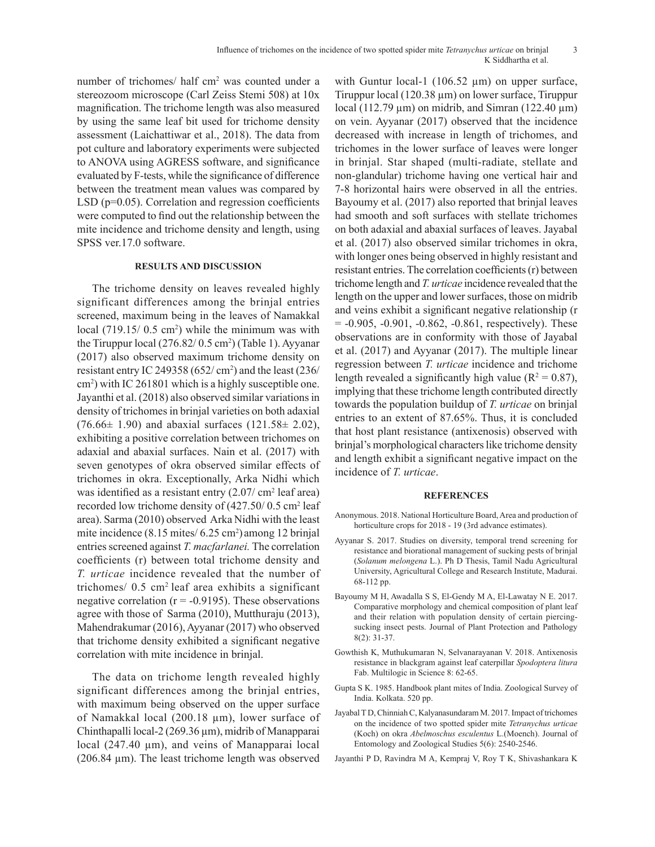number of trichomes/ half cm<sup>2</sup> was counted under a stereozoom microscope (Carl Zeiss Stemi 508) at 10x magnification. The trichome length was also measured by using the same leaf bit used for trichome density assessment (Laichattiwar et al., 2018). The data from pot culture and laboratory experiments were subjected to ANOVA using AGRESS software, and significance evaluated by F-tests, while the significance of difference between the treatment mean values was compared by LSD (p=0.05). Correlation and regression coefficients were computed to find out the relationship between the mite incidence and trichome density and length, using SPSS ver.17.0 software.

## **RESULTS AND DISCUSSION**

The trichome density on leaves revealed highly significant differences among the brinjal entries screened, maximum being in the leaves of Namakkal local  $(719.15/0.5 \text{ cm}^2)$  while the minimum was with the Tiruppur local  $(276.82/0.5 \text{ cm}^2)$  (Table 1). Ayyanar (2017) also observed maximum trichome density on resistant entry IC 249358 ( $652 / \text{ cm}^2$ ) and the least (236/ cm2 ) with IC 261801 which is a highly susceptible one. Jayanthi et al. (2018) also observed similar variations in density of trichomes in brinjal varieties on both adaxial  $(76.66 \pm 1.90)$  and abaxial surfaces  $(121.58 \pm 2.02)$ , exhibiting a positive correlation between trichomes on adaxial and abaxial surfaces. Nain et al. (2017) with seven genotypes of okra observed similar effects of trichomes in okra. Exceptionally, Arka Nidhi which was identified as a resistant entry  $(2.07/\text{ cm}^2 \text{ leaf area})$ recorded low trichome density of  $(427.50/0.5 \text{ cm}^2 \text{ leaf})$ area). Sarma (2010) observed Arka Nidhi with the least mite incidence (8.15 mites/ 6.25 cm<sup>2</sup>) among 12 brinjal entries screened against *T. macfarlanei.* The correlation coefficients (r) between total trichome density and *T. urticae* incidence revealed that the number of trichomes/ 0.5 cm2 leaf area exhibits a significant negative correlation ( $r = -0.9195$ ). These observations agree with those of Sarma (2010), Mutthuraju (2013), Mahendrakumar (2016), Ayyanar (2017) who observed that trichome density exhibited a significant negative correlation with mite incidence in brinjal.

The data on trichome length revealed highly significant differences among the brinjal entries, with maximum being observed on the upper surface of Namakkal local (200.18 µm), lower surface of Chinthapalli local-2 (269.36 µm), midrib of Manapparai local (247.40 μm), and veins of Manapparai local (206.84 µm). The least trichome length was observed

with Guntur local-1 (106.52  $\mu$ m) on upper surface, Tiruppur local (120.38 µm) on lower surface, Tiruppur local (112.79  $\mu$ m) on midrib, and Simran (122.40  $\mu$ m) on vein. Ayyanar (2017) observed that the incidence decreased with increase in length of trichomes, and trichomes in the lower surface of leaves were longer in brinjal. Star shaped (multi-radiate, stellate and non-glandular) trichome having one vertical hair and 7-8 horizontal hairs were observed in all the entries. Bayoumy et al. (2017) also reported that brinjal leaves had smooth and soft surfaces with stellate trichomes on both adaxial and abaxial surfaces of leaves. Jayabal et al. (2017) also observed similar trichomes in okra, with longer ones being observed in highly resistant and resistant entries. The correlation coefficients (r) between trichome length and *T. urticae* incidence revealed that the length on the upper and lower surfaces, those on midrib and veins exhibit a significant negative relationship (r  $= -0.905, -0.901, -0.862, -0.861,$  respectively). These observations are in conformity with those of Jayabal et al. (2017) and Ayyanar (2017). The multiple linear regression between *T. urticae* incidence and trichome length revealed a significantly high value ( $R^2 = 0.87$ ), implying that these trichome length contributed directly towards the population buildup of *T. urticae* on brinjal entries to an extent of 87.65%. Thus, it is concluded that host plant resistance (antixenosis) observed with brinjal's morphological characters like trichome density and length exhibit a significant negative impact on the incidence of *T. urticae*.

#### **REFERENCES**

- Anonymous. 2018. National Horticulture Board, Area and production of horticulture crops for 2018 - 19 (3rd advance estimates).
- Ayyanar S. 2017. Studies on diversity, temporal trend screening for resistance and biorational management of sucking pests of brinjal (*Solanum melongena* L.). Ph D Thesis, Tamil Nadu Agricultural University, Agricultural College and Research Institute, Madurai. 68-112 pp.
- Bayoumy M H, Awadalla S S, El-Gendy M A, El-Lawatay N E. 2017. Comparative morphology and chemical composition of plant leaf and their relation with population density of certain piercingsucking insect pests. Journal of Plant Protection and Pathology 8(2): 31-37.
- Gowthish K, Muthukumaran N, Selvanarayanan V. 2018. Antixenosis resistance in blackgram against leaf caterpillar *Spodoptera litura* Fab. Multilogic in Science 8: 62-65.
- Gupta S K. 1985. Handbook plant mites of India. Zoological Survey of India. Kolkata. 520 pp.
- Jayabal T D, Chinniah C, Kalyanasundaram M. 2017. Impact of trichomes on the incidence of two spotted spider mite *Tetranychus urticae*  (Koch) on okra *Abelmoschus esculentus* L.(Moench). Journal of Entomology and Zoological Studies 5(6): 2540-2546.
- Jayanthi P D, Ravindra M A, Kempraj V, Roy T K, Shivashankara K